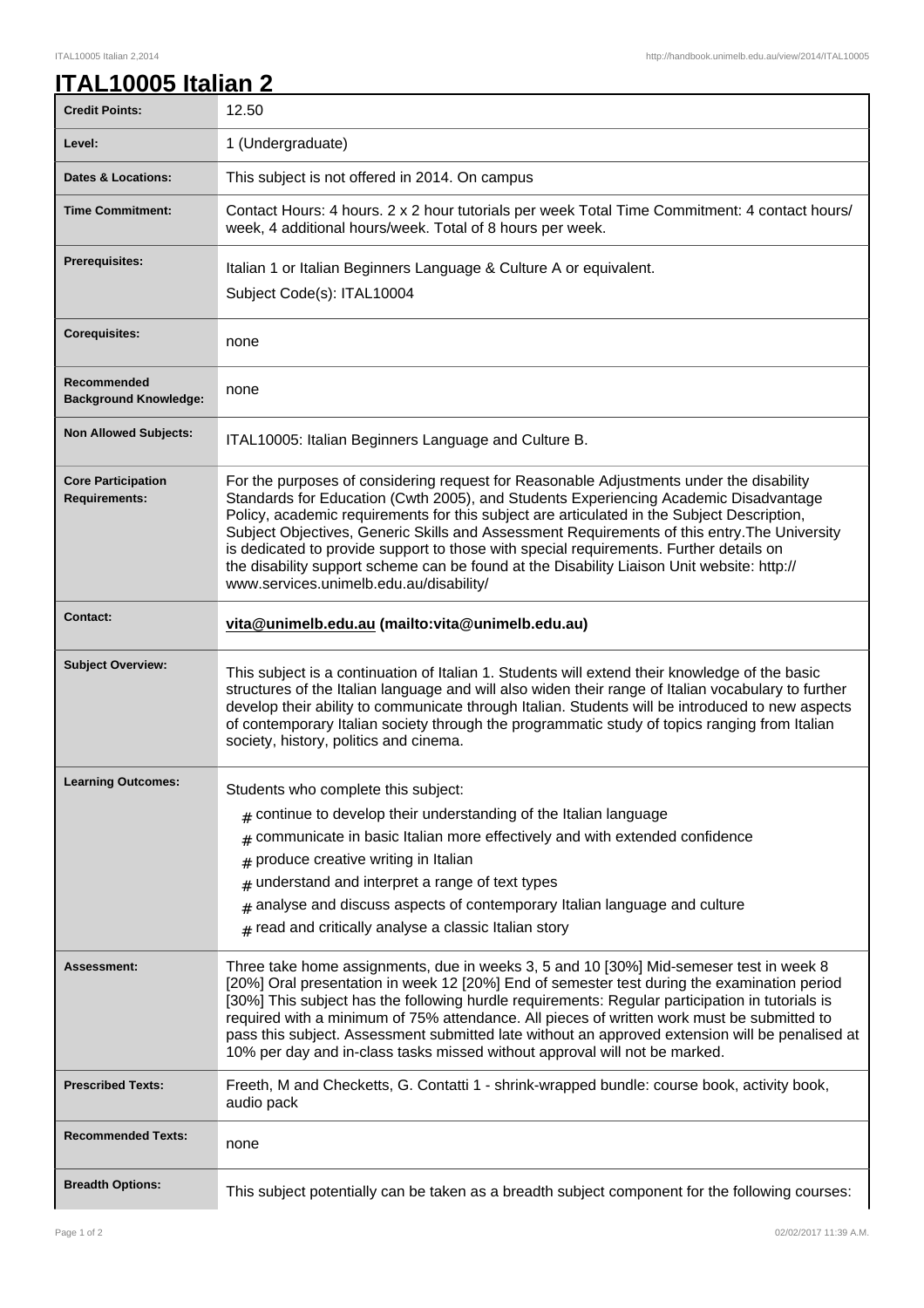| ITAL10005 Italian 2 |  |
|---------------------|--|
|                     |  |

| <b>Credit Points:</b>                             | 12.50                                                                                                                                                                                                                                                                                                                                                                                                                                                                                                                                                                                                            |
|---------------------------------------------------|------------------------------------------------------------------------------------------------------------------------------------------------------------------------------------------------------------------------------------------------------------------------------------------------------------------------------------------------------------------------------------------------------------------------------------------------------------------------------------------------------------------------------------------------------------------------------------------------------------------|
| Level:                                            | 1 (Undergraduate)                                                                                                                                                                                                                                                                                                                                                                                                                                                                                                                                                                                                |
| <b>Dates &amp; Locations:</b>                     | This subject is not offered in 2014. On campus                                                                                                                                                                                                                                                                                                                                                                                                                                                                                                                                                                   |
| <b>Time Commitment:</b>                           | Contact Hours: 4 hours. 2 x 2 hour tutorials per week Total Time Commitment: 4 contact hours/<br>week, 4 additional hours/week. Total of 8 hours per week.                                                                                                                                                                                                                                                                                                                                                                                                                                                       |
| <b>Prerequisites:</b>                             | Italian 1 or Italian Beginners Language & Culture A or equivalent.<br>Subject Code(s): ITAL10004                                                                                                                                                                                                                                                                                                                                                                                                                                                                                                                 |
| <b>Corequisites:</b>                              | none                                                                                                                                                                                                                                                                                                                                                                                                                                                                                                                                                                                                             |
| Recommended<br><b>Background Knowledge:</b>       | none                                                                                                                                                                                                                                                                                                                                                                                                                                                                                                                                                                                                             |
| <b>Non Allowed Subjects:</b>                      | ITAL10005: Italian Beginners Language and Culture B.                                                                                                                                                                                                                                                                                                                                                                                                                                                                                                                                                             |
| <b>Core Participation</b><br><b>Requirements:</b> | For the purposes of considering request for Reasonable Adjustments under the disability<br>Standards for Education (Cwth 2005), and Students Experiencing Academic Disadvantage<br>Policy, academic requirements for this subject are articulated in the Subject Description,<br>Subject Objectives, Generic Skills and Assessment Requirements of this entry. The University<br>is dedicated to provide support to those with special requirements. Further details on<br>the disability support scheme can be found at the Disability Liaison Unit website: http://<br>www.services.unimelb.edu.au/disability/ |
| <b>Contact:</b>                                   | vita@unimelb.edu.au (mailto:vita@unimelb.edu.au)                                                                                                                                                                                                                                                                                                                                                                                                                                                                                                                                                                 |
| <b>Subject Overview:</b>                          | This subject is a continuation of Italian 1. Students will extend their knowledge of the basic<br>structures of the Italian language and will also widen their range of Italian vocabulary to further<br>develop their ability to communicate through Italian. Students will be introduced to new aspects                                                                                                                                                                                                                                                                                                        |
|                                                   | of contemporary Italian society through the programmatic study of topics ranging from Italian<br>society, history, politics and cinema.                                                                                                                                                                                                                                                                                                                                                                                                                                                                          |
| <b>Learning Outcomes:</b>                         | Students who complete this subject:                                                                                                                                                                                                                                                                                                                                                                                                                                                                                                                                                                              |
|                                                   | $*$ continue to develop their understanding of the Italian language                                                                                                                                                                                                                                                                                                                                                                                                                                                                                                                                              |
|                                                   | $#$ communicate in basic Italian more effectively and with extended confidence                                                                                                                                                                                                                                                                                                                                                                                                                                                                                                                                   |
|                                                   | produce creative writing in Italian<br>#                                                                                                                                                                                                                                                                                                                                                                                                                                                                                                                                                                         |
|                                                   | $#$ understand and interpret a range of text types                                                                                                                                                                                                                                                                                                                                                                                                                                                                                                                                                               |
|                                                   | $#$ analyse and discuss aspects of contemporary Italian language and culture                                                                                                                                                                                                                                                                                                                                                                                                                                                                                                                                     |
|                                                   | $#$ read and critically analyse a classic Italian story                                                                                                                                                                                                                                                                                                                                                                                                                                                                                                                                                          |
| <b>Assessment:</b>                                | Three take home assignments, due in weeks 3, 5 and 10 [30%] Mid-semeser test in week 8<br>[20%] Oral presentation in week 12 [20%] End of semester test during the examination period<br>[30%] This subject has the following hurdle requirements: Regular participation in tutorials is<br>required with a minimum of 75% attendance. All pieces of written work must be submitted to<br>pass this subject. Assessment submitted late without an approved extension will be penalised at<br>10% per day and in-class tasks missed without approval will not be marked.                                          |
| <b>Prescribed Texts:</b>                          | Freeth, M and Checketts, G. Contatti 1 - shrink-wrapped bundle: course book, activity book,<br>audio pack                                                                                                                                                                                                                                                                                                                                                                                                                                                                                                        |
| <b>Recommended Texts:</b>                         | none                                                                                                                                                                                                                                                                                                                                                                                                                                                                                                                                                                                                             |